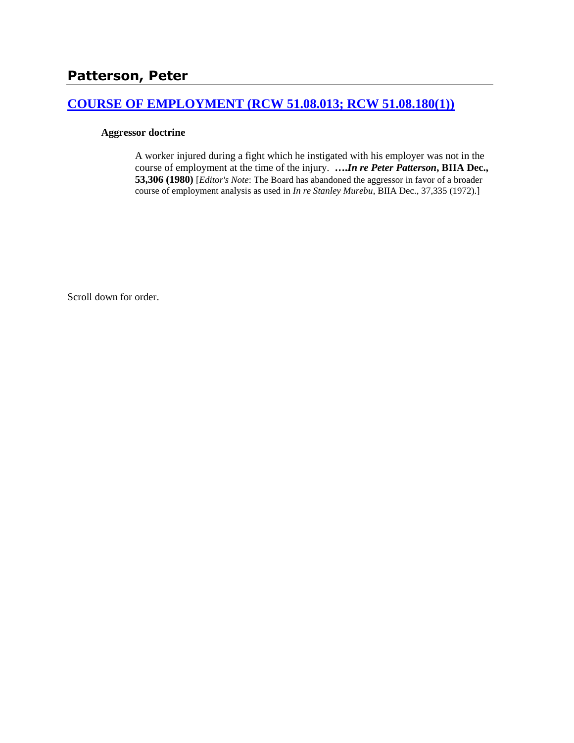## **[COURSE OF EMPLOYMENT \(RCW 51.08.013; RCW 51.08.180\(1\)\)](http://www.biia.wa.gov/SDSubjectIndex.html#COURSE_OF_EMPLOYMENT)**

#### **Aggressor doctrine**

A worker injured during a fight which he instigated with his employer was not in the course of employment at the time of the injury. **….***In re Peter Patterson***, BIIA Dec., 53,306 (1980)** [*Editor's Note*: The Board has abandoned the aggressor in favor of a broader course of employment analysis as used in *In re Stanley Murebu*, BIIA Dec., 37,335 (1972).]

Scroll down for order.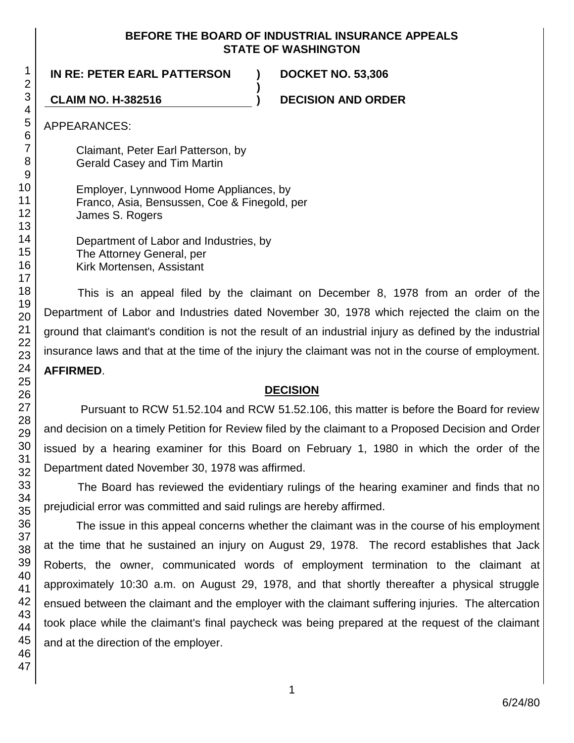#### **BEFORE THE BOARD OF INDUSTRIAL INSURANCE APPEALS STATE OF WASHINGTON**

**)**

**IN RE: PETER EARL PATTERSON ) DOCKET NO. 53,306**

**CLAIM NO. H-382516 ) DECISION AND ORDER**

APPEARANCES:

Claimant, Peter Earl Patterson, by Gerald Casey and Tim Martin

Employer, Lynnwood Home Appliances, by Franco, Asia, Bensussen, Coe & Finegold, per James S. Rogers

Department of Labor and Industries, by The Attorney General, per Kirk Mortensen, Assistant

This is an appeal filed by the claimant on December 8, 1978 from an order of the Department of Labor and Industries dated November 30, 1978 which rejected the claim on the ground that claimant's condition is not the result of an industrial injury as defined by the industrial insurance laws and that at the time of the injury the claimant was not in the course of employment. **AFFIRMED**.

### **DECISION**

Pursuant to RCW 51.52.104 and RCW 51.52.106, this matter is before the Board for review and decision on a timely Petition for Review filed by the claimant to a Proposed Decision and Order issued by a hearing examiner for this Board on February 1, 1980 in which the order of the Department dated November 30, 1978 was affirmed.

The Board has reviewed the evidentiary rulings of the hearing examiner and finds that no prejudicial error was committed and said rulings are hereby affirmed.

The issue in this appeal concerns whether the claimant was in the course of his employment at the time that he sustained an injury on August 29, 1978. The record establishes that Jack Roberts, the owner, communicated words of employment termination to the claimant at approximately 10:30 a.m. on August 29, 1978, and that shortly thereafter a physical struggle ensued between the claimant and the employer with the claimant suffering injuries. The altercation took place while the claimant's final paycheck was being prepared at the request of the claimant and at the direction of the employer.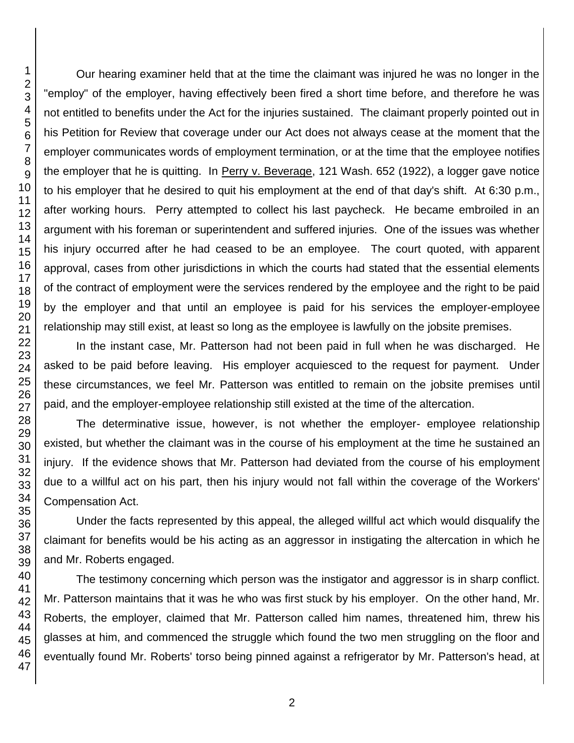Our hearing examiner held that at the time the claimant was injured he was no longer in the "employ" of the employer, having effectively been fired a short time before, and therefore he was not entitled to benefits under the Act for the injuries sustained. The claimant properly pointed out in his Petition for Review that coverage under our Act does not always cease at the moment that the employer communicates words of employment termination, or at the time that the employee notifies the employer that he is quitting. In Perry v. Beverage, 121 Wash. 652 (1922), a logger gave notice to his employer that he desired to quit his employment at the end of that day's shift. At 6:30 p.m., after working hours. Perry attempted to collect his last paycheck. He became embroiled in an argument with his foreman or superintendent and suffered injuries. One of the issues was whether his injury occurred after he had ceased to be an employee. The court quoted, with apparent approval, cases from other jurisdictions in which the courts had stated that the essential elements of the contract of employment were the services rendered by the employee and the right to be paid by the employer and that until an employee is paid for his services the employer-employee relationship may still exist, at least so long as the employee is lawfully on the jobsite premises.

In the instant case, Mr. Patterson had not been paid in full when he was discharged. He asked to be paid before leaving. His employer acquiesced to the request for payment. Under these circumstances, we feel Mr. Patterson was entitled to remain on the jobsite premises until paid, and the employer-employee relationship still existed at the time of the altercation.

The determinative issue, however, is not whether the employer- employee relationship existed, but whether the claimant was in the course of his employment at the time he sustained an injury. If the evidence shows that Mr. Patterson had deviated from the course of his employment due to a willful act on his part, then his injury would not fall within the coverage of the Workers' Compensation Act.

Under the facts represented by this appeal, the alleged willful act which would disqualify the claimant for benefits would be his acting as an aggressor in instigating the altercation in which he and Mr. Roberts engaged.

The testimony concerning which person was the instigator and aggressor is in sharp conflict. Mr. Patterson maintains that it was he who was first stuck by his employer. On the other hand, Mr. Roberts, the employer, claimed that Mr. Patterson called him names, threatened him, threw his glasses at him, and commenced the struggle which found the two men struggling on the floor and eventually found Mr. Roberts' torso being pinned against a refrigerator by Mr. Patterson's head, at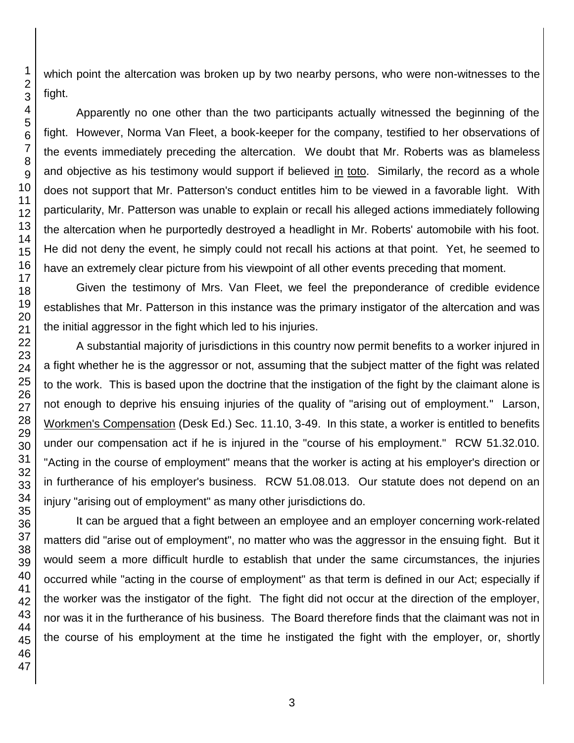which point the altercation was broken up by two nearby persons, who were non-witnesses to the fight.

Apparently no one other than the two participants actually witnessed the beginning of the fight. However, Norma Van Fleet, a book-keeper for the company, testified to her observations of the events immediately preceding the altercation. We doubt that Mr. Roberts was as blameless and objective as his testimony would support if believed in toto. Similarly, the record as a whole does not support that Mr. Patterson's conduct entitles him to be viewed in a favorable light. With particularity, Mr. Patterson was unable to explain or recall his alleged actions immediately following the altercation when he purportedly destroyed a headlight in Mr. Roberts' automobile with his foot. He did not deny the event, he simply could not recall his actions at that point. Yet, he seemed to have an extremely clear picture from his viewpoint of all other events preceding that moment.

Given the testimony of Mrs. Van Fleet, we feel the preponderance of credible evidence establishes that Mr. Patterson in this instance was the primary instigator of the altercation and was the initial aggressor in the fight which led to his injuries.

A substantial majority of jurisdictions in this country now permit benefits to a worker injured in a fight whether he is the aggressor or not, assuming that the subject matter of the fight was related to the work. This is based upon the doctrine that the instigation of the fight by the claimant alone is not enough to deprive his ensuing injuries of the quality of "arising out of employment." Larson, Workmen's Compensation (Desk Ed.) Sec. 11.10, 3-49. In this state, a worker is entitled to benefits under our compensation act if he is injured in the "course of his employment." RCW 51.32.010. "Acting in the course of employment" means that the worker is acting at his employer's direction or in furtherance of his employer's business. RCW 51.08.013. Our statute does not depend on an injury "arising out of employment" as many other jurisdictions do.

It can be argued that a fight between an employee and an employer concerning work-related matters did "arise out of employment", no matter who was the aggressor in the ensuing fight. But it would seem a more difficult hurdle to establish that under the same circumstances, the injuries occurred while "acting in the course of employment" as that term is defined in our Act; especially if the worker was the instigator of the fight. The fight did not occur at the direction of the employer, nor was it in the furtherance of his business. The Board therefore finds that the claimant was not in the course of his employment at the time he instigated the fight with the employer, or, shortly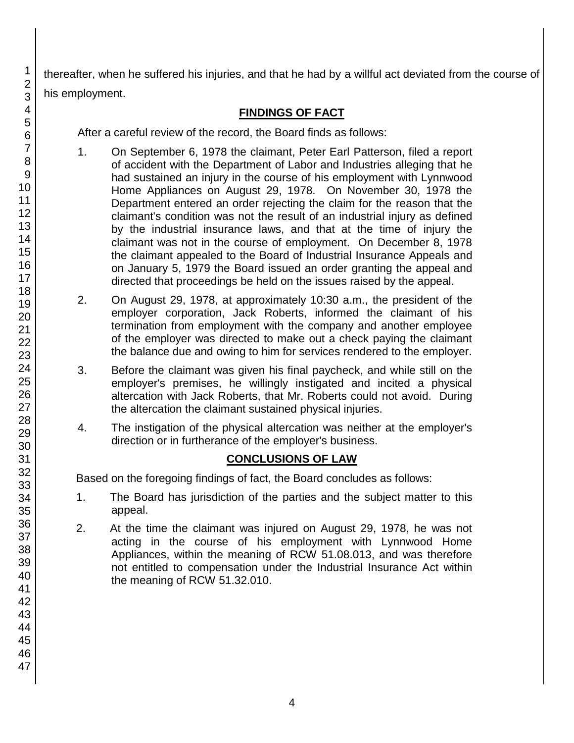thereafter, when he suffered his injuries, and that he had by a willful act deviated from the course of his employment.

# **FINDINGS OF FACT**

After a careful review of the record, the Board finds as follows:

- 1. On September 6, 1978 the claimant, Peter Earl Patterson, filed a report of accident with the Department of Labor and Industries alleging that he had sustained an injury in the course of his employment with Lynnwood Home Appliances on August 29, 1978. On November 30, 1978 the Department entered an order rejecting the claim for the reason that the claimant's condition was not the result of an industrial injury as defined by the industrial insurance laws, and that at the time of injury the claimant was not in the course of employment. On December 8, 1978 the claimant appealed to the Board of Industrial Insurance Appeals and on January 5, 1979 the Board issued an order granting the appeal and directed that proceedings be held on the issues raised by the appeal.
- 2. On August 29, 1978, at approximately 10:30 a.m., the president of the employer corporation, Jack Roberts, informed the claimant of his termination from employment with the company and another employee of the employer was directed to make out a check paying the claimant the balance due and owing to him for services rendered to the employer.
- 3. Before the claimant was given his final paycheck, and while still on the employer's premises, he willingly instigated and incited a physical altercation with Jack Roberts, that Mr. Roberts could not avoid. During the altercation the claimant sustained physical injuries.
- 4. The instigation of the physical altercation was neither at the employer's direction or in furtherance of the employer's business.

# **CONCLUSIONS OF LAW**

Based on the foregoing findings of fact, the Board concludes as follows:

- 1. The Board has jurisdiction of the parties and the subject matter to this appeal.
- 2. At the time the claimant was injured on August 29, 1978, he was not acting in the course of his employment with Lynnwood Home Appliances, within the meaning of RCW 51.08.013, and was therefore not entitled to compensation under the Industrial Insurance Act within the meaning of RCW 51.32.010.